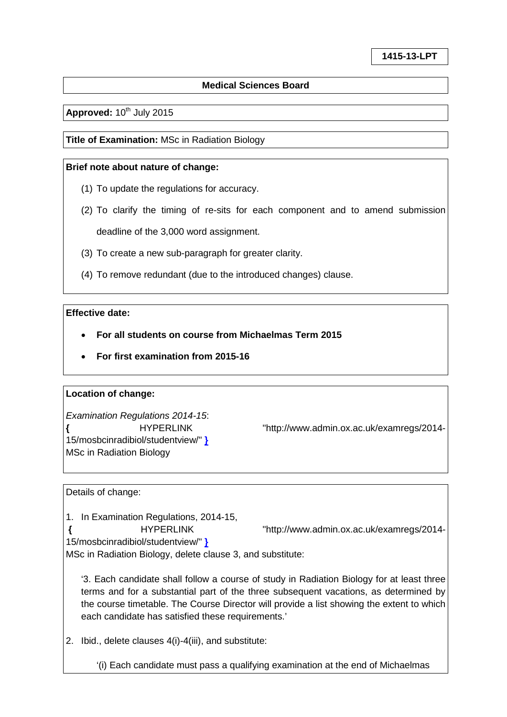## **Medical Sciences Board**

Approved: 10<sup>th</sup> July 2015

**Title of Examination:** MSc in Radiation Biology

### **Brief note about nature of change:**

- (1) To update the regulations for accuracy.
- (2) To clarify the timing of re-sits for each component and to amend submission deadline of the 3,000 word assignment.
- (3) To create a new sub-paragraph for greater clarity.
- (4) To remove redundant (due to the introduced changes) clause.

# **Effective date:**

- **For all students on course from Michaelmas Term 2015**
- **For first examination from 2015-16**

#### **Location of change:**

*Examination Regulations 2014-15*: [15/mosbcinradibiol/studentview/"](http://www.admin.ox.ac.uk/examregs/2014-15/mosbcinradibiol/studentview/) **}** MSc in Radiation Biology

**{** [HYPERLINK "http://www.admin.ox.ac.uk/examregs/2014-](http://www.admin.ox.ac.uk/examregs/2014-15/mosbcinradibiol/studentview/)

Details of change:

1. In Examination Regulations, 2014-15,

**{** [HYPERLINK "http://www.admin.ox.ac.uk/examregs/2014-](http://www.admin.ox.ac.uk/examregs/2014-15/mosbcinradibiol/studentview/)

[15/mosbcinradibiol/studentview/"](http://www.admin.ox.ac.uk/examregs/2014-15/mosbcinradibiol/studentview/) **}**

MSc in Radiation Biology, delete clause 3, and substitute:

'3. Each candidate shall follow a course of study in Radiation Biology for at least three terms and for a substantial part of the three subsequent vacations, as determined by the course timetable. The Course Director will provide a list showing the extent to which each candidate has satisfied these requirements.'

2. Ibid., delete clauses 4(i)-4(iii), and substitute:

'(i) Each candidate must pass a qualifying examination at the end of Michaelmas